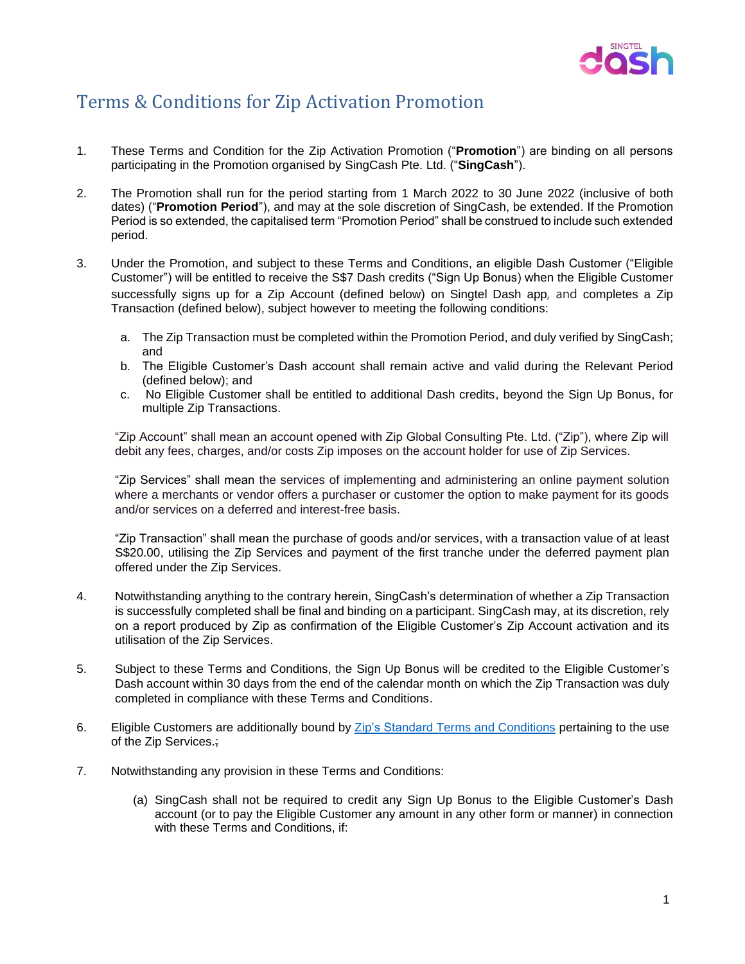

## Terms & Conditions for Zip Activation Promotion

- 1. These Terms and Condition for the Zip Activation Promotion ("**Promotion**") are binding on all persons participating in the Promotion organised by SingCash Pte. Ltd. ("**SingCash**").
- 2. The Promotion shall run for the period starting from 1 March 2022 to 30 June 2022 (inclusive of both dates) ("**Promotion Period**"), and may at the sole discretion of SingCash, be extended. If the Promotion Period is so extended, the capitalised term "Promotion Period" shall be construed to include such extended period.
- 3. Under the Promotion, and subject to these Terms and Conditions, an eligible Dash Customer ("Eligible Customer") will be entitled to receive the S\$7 Dash credits ("Sign Up Bonus) when the Eligible Customer successfully signs up for a Zip Account (defined below) on Singtel Dash app, and completes a Zip Transaction (defined below), subject however to meeting the following conditions:
	- a. The Zip Transaction must be completed within the Promotion Period, and duly verified by SingCash; and
	- b. The Eligible Customer's Dash account shall remain active and valid during the Relevant Period (defined below); and
	- c. No Eligible Customer shall be entitled to additional Dash credits, beyond the Sign Up Bonus, for multiple Zip Transactions.

"Zip Account" shall mean an account opened with Zip Global Consulting Pte. Ltd. ("Zip"), where Zip will debit any fees, charges, and/or costs Zip imposes on the account holder for use of Zip Services.

"Zip Services" shall mean the services of implementing and administering an online payment solution where a merchants or vendor offers a purchaser or customer the option to make payment for its goods and/or services on a deferred and interest-free basis.

"Zip Transaction" shall mean the purchase of goods and/or services, with a transaction value of at least S\$20.00, utilising the Zip Services and payment of the first tranche under the deferred payment plan offered under the Zip Services.

- 4. Notwithstanding anything to the contrary herein, SingCash's determination of whether a Zip Transaction is successfully completed shall be final and binding on a participant. SingCash may, at its discretion, rely on a report produced by Zip as confirmation of the Eligible Customer's Zip Account activation and its utilisation of the Zip Services.
- 5. Subject to these Terms and Conditions, the Sign Up Bonus will be credited to the Eligible Customer's Dash account within 30 days from the end of the calendar month on which the Zip Transaction was duly completed in compliance with these Terms and Conditions.
- 6. Eligible Customers are additionally bound by Zip's Standard [Terms and Conditions](https://zip.co/sg/terms) pertaining to the use of the Zip Services.;
- 7. Notwithstanding any provision in these Terms and Conditions:
	- (a) SingCash shall not be required to credit any Sign Up Bonus to the Eligible Customer's Dash account (or to pay the Eligible Customer any amount in any other form or manner) in connection with these Terms and Conditions, if: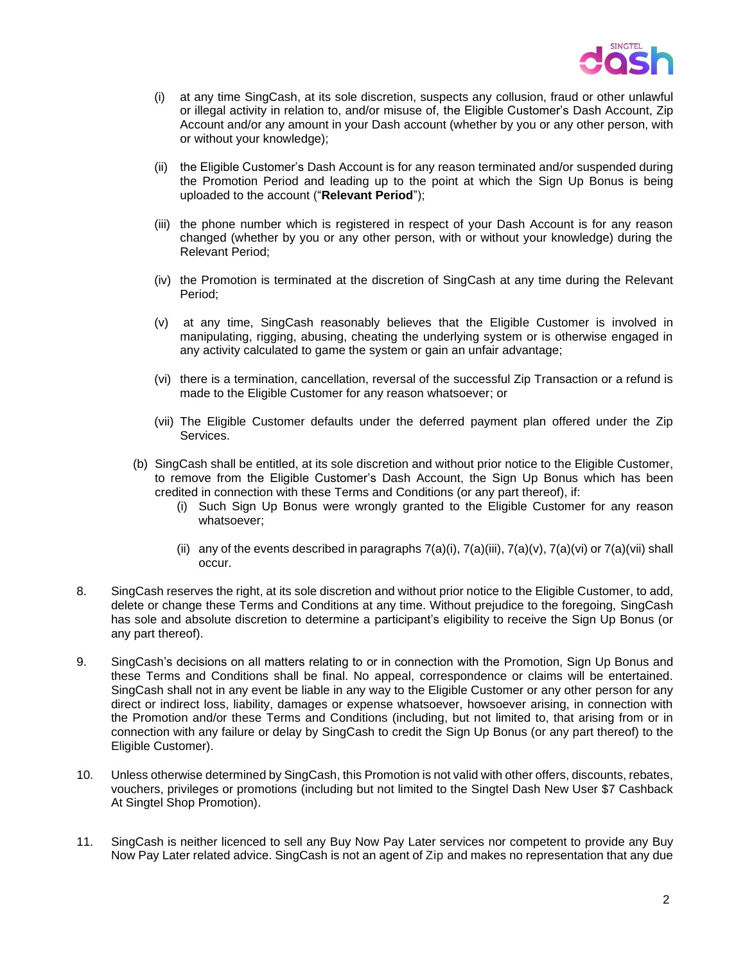

- (i) at any time SingCash, at its sole discretion, suspects any collusion, fraud or other unlawful or illegal activity in relation to, and/or misuse of, the Eligible Customer's Dash Account, Zip Account and/or any amount in your Dash account (whether by you or any other person, with or without your knowledge);
- (ii) the Eligible Customer's Dash Account is for any reason terminated and/or suspended during the Promotion Period and leading up to the point at which the Sign Up Bonus is being uploaded to the account ("**Relevant Period**");
- (iii) the phone number which is registered in respect of your Dash Account is for any reason changed (whether by you or any other person, with or without your knowledge) during the Relevant Period;
- (iv) the Promotion is terminated at the discretion of SingCash at any time during the Relevant Period;
- (v) at any time, SingCash reasonably believes that the Eligible Customer is involved in manipulating, rigging, abusing, cheating the underlying system or is otherwise engaged in any activity calculated to game the system or gain an unfair advantage;
- (vi) there is a termination, cancellation, reversal of the successful Zip Transaction or a refund is made to the Eligible Customer for any reason whatsoever; or
- (vii) The Eligible Customer defaults under the deferred payment plan offered under the Zip Services.
- (b) SingCash shall be entitled, at its sole discretion and without prior notice to the Eligible Customer, to remove from the Eligible Customer's Dash Account, the Sign Up Bonus which has been credited in connection with these Terms and Conditions (or any part thereof), if:
	- (i) Such Sign Up Bonus were wrongly granted to the Eligible Customer for any reason whatsoever;
	- (ii) any of the events described in paragraphs  $7(a)(i)$ ,  $7(a)(ii)$ ,  $7(a)(v)$ ,  $7(a)(vi)$  or  $7(a)(vii)$  shall occur.
- 8. SingCash reserves the right, at its sole discretion and without prior notice to the Eligible Customer, to add, delete or change these Terms and Conditions at any time. Without prejudice to the foregoing, SingCash has sole and absolute discretion to determine a participant's eligibility to receive the Sign Up Bonus (or any part thereof).
- 9. SingCash's decisions on all matters relating to or in connection with the Promotion, Sign Up Bonus and these Terms and Conditions shall be final. No appeal, correspondence or claims will be entertained. SingCash shall not in any event be liable in any way to the Eligible Customer or any other person for any direct or indirect loss, liability, damages or expense whatsoever, howsoever arising, in connection with the Promotion and/or these Terms and Conditions (including, but not limited to, that arising from or in connection with any failure or delay by SingCash to credit the Sign Up Bonus (or any part thereof) to the Eligible Customer).
- 10. Unless otherwise determined by SingCash, this Promotion is not valid with other offers, discounts, rebates, vouchers, privileges or promotions (including but not limited to the Singtel Dash New User \$7 Cashback At Singtel Shop Promotion).
- 11. SingCash is neither licenced to sell any Buy Now Pay Later services nor competent to provide any Buy Now Pay Later related advice. SingCash is not an agent of Zip and makes no representation that any due